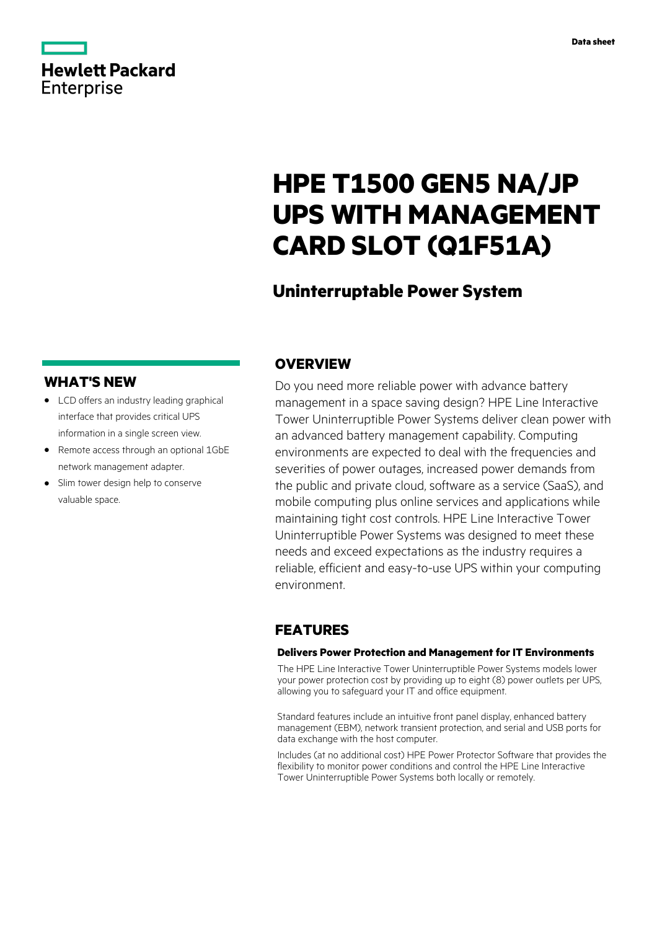

# **HPE T1500 GEN5 NA/JP UPS WITH MANAGEMENT CARD SLOT (Q1F51A)**

# **Uninterruptable Power System**

# **WHAT'S NEW**

**Hewlett Packard** 

Enterprise

- **·** LCD offers an industry leading graphical interface that provides critical UPS information in a single screen view.
- **·** Remote access through an optional 1GbE network management adapter.
- **·** Slim tower design help to conserve valuable space.

# **OVERVIEW**

Do you need more reliable power with advance battery management in a space saving design? HPE Line Interactive Tower Uninterruptible Power Systems deliver clean power with an advanced battery management capability. Computing environments are expected to deal with the frequencies and severities of power outages, increased power demands from the public and private cloud, software as a service (SaaS), and mobile computing plus online services and applications while maintaining tight cost controls. HPE Line Interactive Tower Uninterruptible Power Systems was designed to meet these needs and exceed expectations as the industry requires a reliable, efficient and easy-to-use UPS within your computing environment.

# **FEATURES**

### **Delivers Power Protection and Management for IT Environments**

The HPE Line Interactive Tower Uninterruptible Power Systems models lower your power protection cost by providing up to eight (8) power outlets per UPS, allowing you to safeguard your IT and office equipment.

Standard features include an intuitive front panel display, enhanced battery management (EBM), network transient protection, and serial and USB ports for data exchange with the host computer.

Includes (at no additional cost) HPE Power Protector Software that provides the flexibility to monitor power conditions and control the HPE Line Interactive Tower Uninterruptible Power Systems both locally or remotely.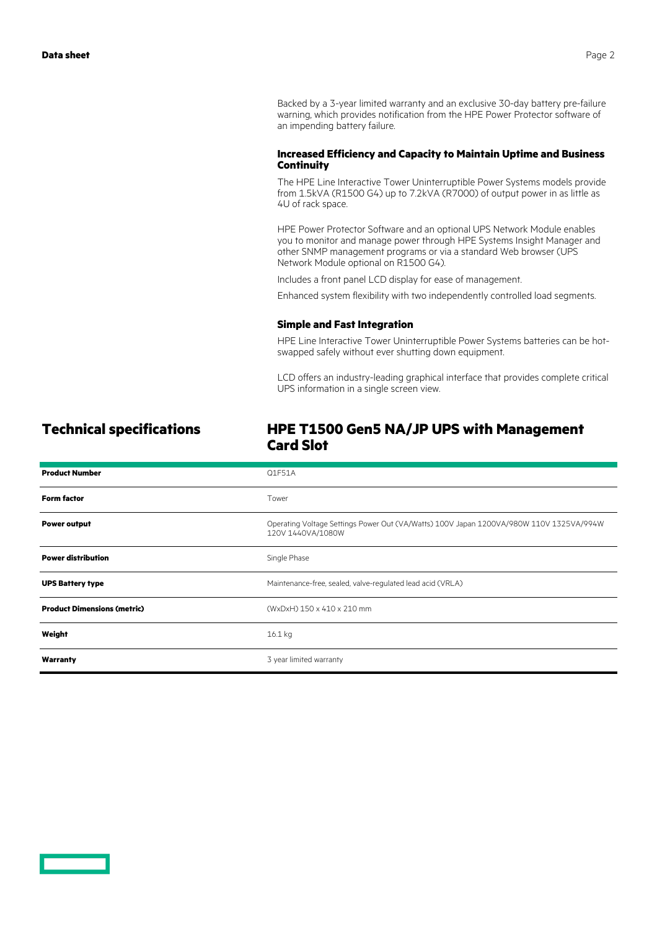Backed by a 3-year limited warranty and an exclusive 30-day battery pre-failure warning, which provides notification from the HPE Power Protector software of an impending battery failure.

### **Increased Efficiency and Capacity to Maintain Uptime and Business Continuity**

The HPE Line Interactive Tower Uninterruptible Power Systems models provide from 1.5kVA (R1500 G4) up to 7.2kVA (R7000) of output power in as little as 4U of rack space.

HPE Power Protector Software and an optional UPS Network Module enables you to monitor and manage power through HPE Systems Insight Manager and other SNMP management programs or via a standard Web browser (UPS Network Module optional on R1500 G4).

Includes a front panel LCD display for ease of management.

Enhanced system flexibility with two independently controlled load segments.

### **Simple and Fast Integration**

HPE Line Interactive Tower Uninterruptible Power Systems batteries can be hotswapped safely without ever shutting down equipment.

LCD offers an industry-leading graphical interface that provides complete critical UPS information in a single screen view.

### **Technical specifications HPE T1500 Gen5 NA/JP UPS with Management Card Slot**

| <b>Product Number</b>              | Q1F51A                                                                                                       |
|------------------------------------|--------------------------------------------------------------------------------------------------------------|
| <b>Form factor</b>                 | Tower                                                                                                        |
| <b>Power output</b>                | Operating Voltage Settings Power Out (VA/Watts) 100V Japan 1200VA/980W 110V 1325VA/994W<br>120V 1440VA/1080W |
| <b>Power distribution</b>          | Single Phase                                                                                                 |
| <b>UPS Battery type</b>            | Maintenance-free, sealed, valve-regulated lead acid (VRLA)                                                   |
| <b>Product Dimensions (metric)</b> | (WxDxH) 150 x 410 x 210 mm                                                                                   |
| Weight                             | $16.1$ kg                                                                                                    |
| Warranty                           | 3 year limited warranty                                                                                      |